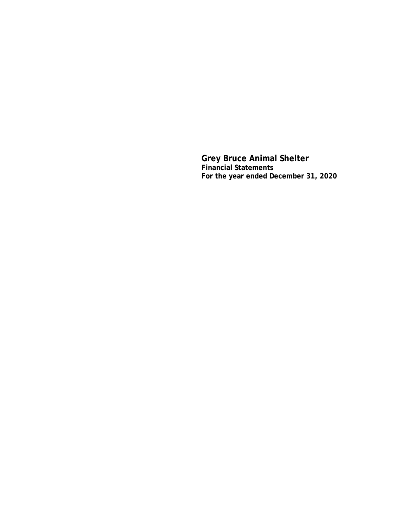**Grey Bruce Animal Shelter Financial Statements For the year ended December 31, 2020**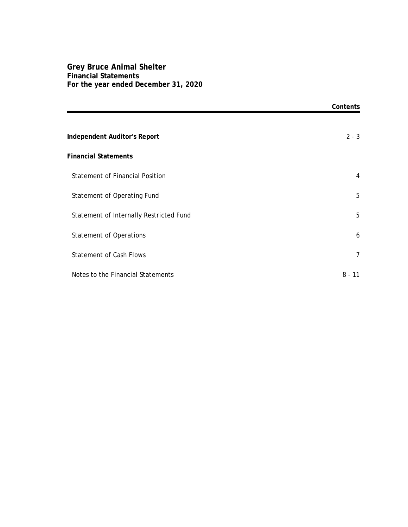## **Grey Bruce Animal Shelter Financial Statements For the year ended December 31, 2020**

|                                         | Contents       |
|-----------------------------------------|----------------|
| <b>Independent Auditor's Report</b>     | $2 - 3$        |
| <b>Financial Statements</b>             |                |
| Statement of Financial Position         | 4              |
| Statement of Operating Fund             | 5              |
| Statement of Internally Restricted Fund | 5              |
| <b>Statement of Operations</b>          | 6              |
| <b>Statement of Cash Flows</b>          | $\overline{7}$ |
| Notes to the Financial Statements       | $8 - 11$       |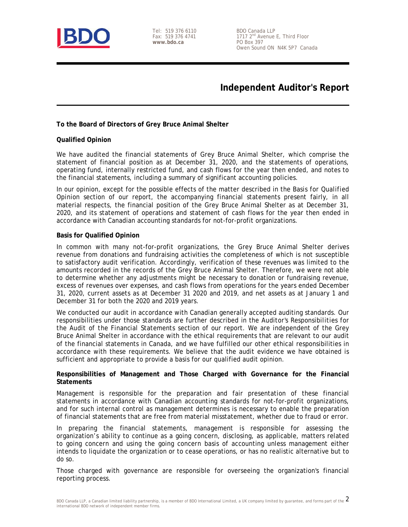

Tel: 519 376 6110 Fax: 519 376 4741 **www.bdo.ca** 

BDO Canada LLP 1717 2<sup>nd</sup> Avenue E, Third Floor PO Box 397 Owen Sound ON N4K 5P7 Canada

## **Independent Auditor's Report**

## **To the Board of Directors of Grey Bruce Animal Shelter**

#### **Qualified Opinion**

We have audited the financial statements of Grey Bruce Animal Shelter, which comprise the statement of financial position as at December 31, 2020, and the statements of operations, operating fund, internally restricted fund, and cash flows for the year then ended, and notes to the financial statements, including a summary of significant accounting policies.

In our opinion, except for the possible effects of the matter described in the *Basis for Qualified Opinion* section of our report, the accompanying financial statements present fairly, in all material respects, the financial position of the Grey Bruce Animal Shelter as at December 31, 2020, and its statement of operations and statement of cash flows for the year then ended in accordance with Canadian accounting standards for not-for-profit organizations.

#### **Basis for Qualified Opinion**

In common with many not-for-profit organizations, the Grey Bruce Animal Shelter derives revenue from donations and fundraising activities the completeness of which is not susceptible to satisfactory audit verification. Accordingly, verification of these revenues was limited to the amounts recorded in the records of the Grey Bruce Animal Shelter. Therefore, we were not able to determine whether any adjustments might be necessary to donation or fundraising revenue, excess of revenues over expenses, and cash flows from operations for the years ended December 31, 2020, current assets as at December 31 2020 and 2019, and net assets as at January 1 and December 31 for both the 2020 and 2019 years.

We conducted our audit in accordance with Canadian generally accepted auditing standards. Our responsibilities under those standards are further described in the *Auditor's Responsibilities for the Audit of the Financial Statements* section of our report. We are independent of the Grey Bruce Animal Shelter in accordance with the ethical requirements that are relevant to our audit of the financial statements in Canada, and we have fulfilled our other ethical responsibilities in accordance with these requirements. We believe that the audit evidence we have obtained is sufficient and appropriate to provide a basis for our qualified audit opinion.

#### **Responsibilities of Management and Those Charged with Governance for the Financial Statements**

Management is responsible for the preparation and fair presentation of these financial statements in accordance with Canadian accounting standards for not-for-profit organizations, and for such internal control as management determines is necessary to enable the preparation of financial statements that are free from material misstatement, whether due to fraud or error.

In preparing the financial statements, management is responsible for assessing the organization's ability to continue as a going concern, disclosing, as applicable, matters related to going concern and using the going concern basis of accounting unless management either intends to liquidate the organization or to cease operations, or has no realistic alternative but to do so.

Those charged with governance are responsible for overseeing the organization's financial reporting process.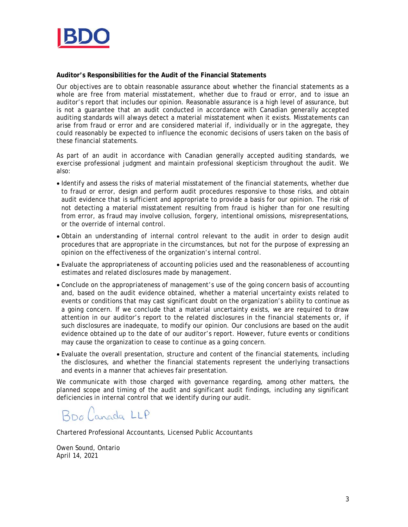

#### **Auditor's Responsibilities for the Audit of the Financial Statements**

Our objectives are to obtain reasonable assurance about whether the financial statements as a whole are free from material misstatement, whether due to fraud or error, and to issue an auditor's report that includes our opinion. Reasonable assurance is a high level of assurance, but is not a guarantee that an audit conducted in accordance with Canadian generally accepted auditing standards will always detect a material misstatement when it exists. Misstatements can arise from fraud or error and are considered material if, individually or in the aggregate, they could reasonably be expected to influence the economic decisions of users taken on the basis of these financial statements.

As part of an audit in accordance with Canadian generally accepted auditing standards, we exercise professional judgment and maintain professional skepticism throughout the audit. We also:

- Identify and assess the risks of material misstatement of the financial statements, whether due to fraud or error, design and perform audit procedures responsive to those risks, and obtain audit evidence that is sufficient and appropriate to provide a basis for our opinion. The risk of not detecting a material misstatement resulting from fraud is higher than for one resulting from error, as fraud may involve collusion, forgery, intentional omissions, misrepresentations, or the override of internal control.
- Obtain an understanding of internal control relevant to the audit in order to design audit procedures that are appropriate in the circumstances, but not for the purpose of expressing an opinion on the effectiveness of the organization's internal control.
- Evaluate the appropriateness of accounting policies used and the reasonableness of accounting estimates and related disclosures made by management.
- Conclude on the appropriateness of management's use of the going concern basis of accounting and, based on the audit evidence obtained, whether a material uncertainty exists related to events or conditions that may cast significant doubt on the organization's ability to continue as a going concern. If we conclude that a material uncertainty exists, we are required to draw attention in our auditor's report to the related disclosures in the financial statements or, if such disclosures are inadequate, to modify our opinion. Our conclusions are based on the audit evidence obtained up to the date of our auditor's report. However, future events or conditions may cause the organization to cease to continue as a going concern.
- Evaluate the overall presentation, structure and content of the financial statements, including the disclosures, and whether the financial statements represent the underlying transactions and events in a manner that achieves fair presentation.

We communicate with those charged with governance regarding, among other matters, the planned scope and timing of the audit and significant audit findings, including any significant deficiencies in internal control that we identify during our audit.

BDG Canada LLP

Chartered Professional Accountants, Licensed Public Accountants

Owen Sound, Ontario April 14, 2021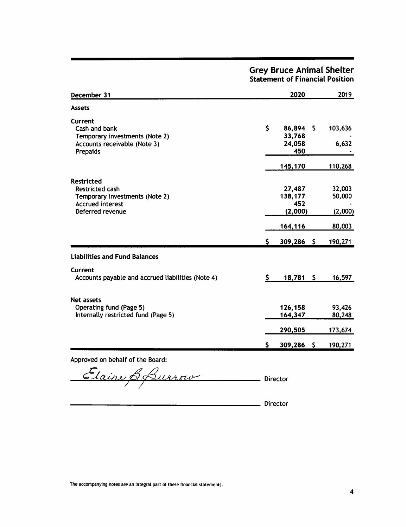# **Grey Bruce Animal Shelter**<br>Statement of Financial Position

| December 31                                                                         |     | 2020               | 2019             |
|-------------------------------------------------------------------------------------|-----|--------------------|------------------|
| <b>Assets</b>                                                                       |     |                    |                  |
| Current<br>Cash and bank<br>Temporary investments (Note 2)                          | \$  | 86,894<br>33,768   | \$<br>103,636    |
| Accounts receivable (Note 3)<br>Prepaids                                            |     | 24,058<br>450      | 6,632            |
|                                                                                     |     | 145,170            | 110,268          |
| <b>Restricted</b><br>Restricted cash<br>Temporary investments (Note 2)              |     | 27,487<br>138,177  | 32,003<br>50,000 |
| <b>Accrued interest</b><br>Deferred revenue                                         |     | 452<br>(2,000)     | (2,000)          |
|                                                                                     |     | 164,116            | 80,003           |
|                                                                                     | \$  | 309,286 \$         | 190,271          |
| <b>Liabilities and Fund Balances</b>                                                |     |                    |                  |
| <b>Current</b><br>Accounts payable and accrued liabilities (Note 4)                 | \$  | $18,781$ \$        | 16,597           |
| <b>Net assets</b><br>Operating fund (Page 5)<br>Internally restricted fund (Page 5) |     | 126,158<br>164,347 | 93,426<br>80,248 |
|                                                                                     |     | 290,505            | 173,674          |
|                                                                                     | \$. | $309,286$ \$       | 190,271          |
| Approved on behalf of the Board:<br>${\mathcal{L}}$ ,<br>- 12 - 11                  |     |                    |                  |

<u>Elaine B. Luirroi </u>Director

Director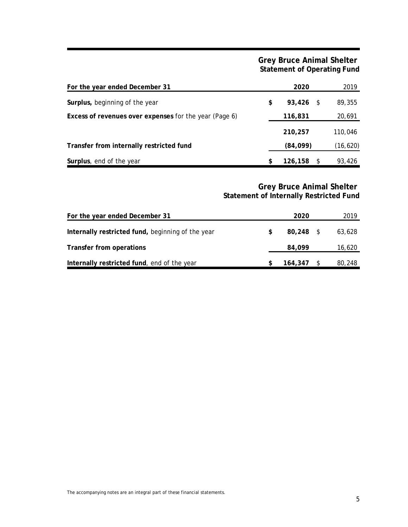## **Grey Bruce Animal Shelter Statement of Operating Fund**

| For the year ended December 31                                | 2020                 | 2019      |
|---------------------------------------------------------------|----------------------|-----------|
| Surplus, beginning of the year                                | \$<br>93,426<br>- \$ | 89,355    |
| <b>Excess of revenues over expenses</b> for the year (Page 6) | 116,831              | 20,691    |
|                                                               | 210,257              | 110,046   |
| Transfer from internally restricted fund                      | (84,099)             | (16, 620) |
| Surplus, end of the year                                      | \$<br>126,158        | 93,426    |

## **Grey Bruce Animal Shelter Statement of Internally Restricted Fund**

| For the year ended December 31                    |    | 2020        | 2019   |
|---------------------------------------------------|----|-------------|--------|
| Internally restricted fund, beginning of the year | S. | $80.248$ \$ | 63,628 |
| Transfer from operations                          |    | 84,099      | 16,620 |
| Internally restricted fund, end of the year       |    | 164,347     | 80,248 |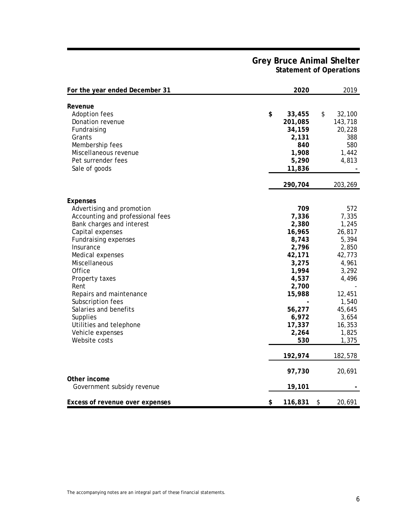| For the year ended December 31                                                                                                                                                                                                                                                                                                                                                      | 2020                                                                                                                                            | 2019                                                                                                                                            |
|-------------------------------------------------------------------------------------------------------------------------------------------------------------------------------------------------------------------------------------------------------------------------------------------------------------------------------------------------------------------------------------|-------------------------------------------------------------------------------------------------------------------------------------------------|-------------------------------------------------------------------------------------------------------------------------------------------------|
| Revenue<br>Adoption fees<br>Donation revenue<br>Fundraising<br>Grants<br>Membership fees<br>Miscellaneous revenue<br>Pet surrender fees<br>Sale of goods                                                                                                                                                                                                                            | \$<br>33,455<br>201,085<br>34,159<br>2,131<br>840<br>1,908<br>5,290<br>11,836                                                                   | \$<br>32,100<br>143,718<br>20,228<br>388<br>580<br>1,442<br>4,813                                                                               |
|                                                                                                                                                                                                                                                                                                                                                                                     | 290,704                                                                                                                                         | 203,269                                                                                                                                         |
| <b>Expenses</b><br>Advertising and promotion<br>Accounting and professional fees<br>Bank charges and interest<br>Capital expenses<br>Fundraising expenses<br>Insurance<br>Medical expenses<br>Miscellaneous<br>Office<br>Property taxes<br>Rent<br>Repairs and maintenance<br>Subscription fees<br>Salaries and benefits<br>Supplies<br>Utilities and telephone<br>Vehicle expenses | 709<br>7,336<br>2,380<br>16,965<br>8,743<br>2,796<br>42,171<br>3,275<br>1,994<br>4,537<br>2,700<br>15,988<br>56,277<br>6,972<br>17,337<br>2,264 | 572<br>7,335<br>1,245<br>26,817<br>5,394<br>2,850<br>42,773<br>4,961<br>3,292<br>4,496<br>12,451<br>1,540<br>45,645<br>3,654<br>16,353<br>1,825 |
| Website costs                                                                                                                                                                                                                                                                                                                                                                       | 530                                                                                                                                             | 1,375                                                                                                                                           |
| Other income<br>Government subsidy revenue                                                                                                                                                                                                                                                                                                                                          | 192,974<br>97,730<br>19,101                                                                                                                     | 182,578<br>20,691                                                                                                                               |
| Excess of revenue over expenses                                                                                                                                                                                                                                                                                                                                                     | \$<br>116,831                                                                                                                                   | \$<br>20,691                                                                                                                                    |

## **Grey Bruce Animal Shelter Statement of Operations**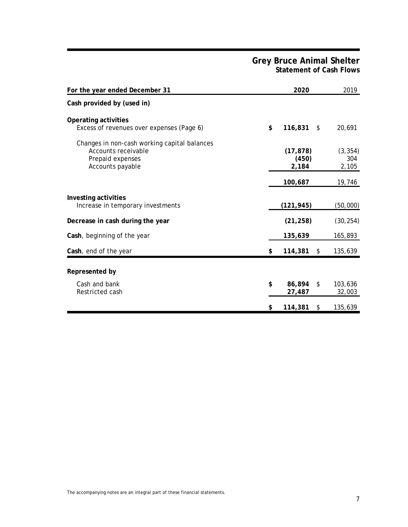## **Grey Bruce Animal Shelter Statement of Cash Flows**

| For the year ended December 31                                                                              | 2020                        | 2019                     |
|-------------------------------------------------------------------------------------------------------------|-----------------------------|--------------------------|
| Cash provided by (used in)                                                                                  |                             |                          |
| Operating activities<br>Excess of revenues over expenses (Page 6)                                           | \$<br>116,831               | \$<br>20,691             |
| Changes in non-cash working capital balances<br>Accounts receivable<br>Prepaid expenses<br>Accounts payable | (17, 878)<br>(450)<br>2,184 | (3, 354)<br>304<br>2,105 |
|                                                                                                             | 100,687                     | 19,746                   |
| Investing activities<br>Increase in temporary investments                                                   | (121, 945)                  | (50,000)                 |
| Decrease in cash during the year                                                                            | (21, 258)                   | (30, 254)                |
| Cash, beginning of the year                                                                                 | 135,639                     | 165,893                  |
| Cash, end of the year                                                                                       | \$<br>114,381               | \$<br>135,639            |
| Represented by                                                                                              |                             |                          |
| Cash and bank<br>Restricted cash                                                                            | \$<br>86,894<br>27,487      | \$<br>103,636<br>32,003  |
|                                                                                                             | \$<br>114,381               | \$<br>135,639            |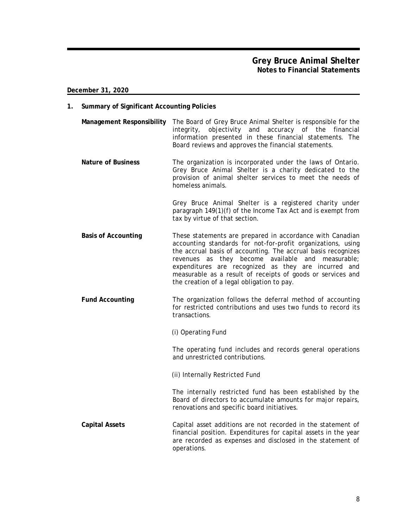## **Grey Bruce Animal Shelter Notes to Financial Statements**

**December 31, 2020**

## **1. Summary of Significant Accounting Policies**

**Management Responsibility** The Board of Grey Bruce Animal Shelter is responsible for the integrity, objectivity and accuracy of the financial information presented in these financial statements. The Board reviews and approves the financial statements. **Nature of Business** The organization is incorporated under the laws of Ontario. Grey Bruce Animal Shelter is a charity dedicated to the provision of animal shelter services to meet the needs of homeless animals. Grey Bruce Animal Shelter is a registered charity under paragraph 149(1)(f) of the Income Tax Act and is exempt from tax by virtue of that section. **Basis of Accounting** These statements are prepared in accordance with Canadian accounting standards for not-for-profit organizations, using the accrual basis of accounting. The accrual basis recognizes revenues as they become available and measurable; expenditures are recognized as they are incurred and measurable as a result of receipts of goods or services and the creation of a legal obligation to pay. **Fund Accounting** The organization follows the deferral method of accounting for restricted contributions and uses two funds to record its transactions. (i) Operating Fund The operating fund includes and records general operations and unrestricted contributions. (ii) Internally Restricted Fund The internally restricted fund has been established by the Board of directors to accumulate amounts for major repairs, renovations and specific board initiatives. **Capital Assets** Capital asset additions are not recorded in the statement of financial position. Expenditures for capital assets in the year are recorded as expenses and disclosed in the statement of

operations.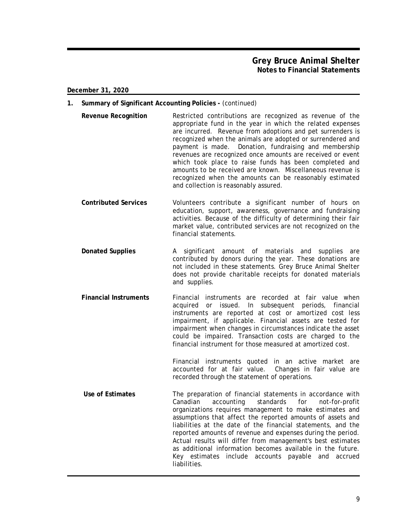## **Grey Bruce Animal Shelter Notes to Financial Statements**

**December 31, 2020**

#### **1. Summary of Significant Accounting Policies -** (continued)

- **Revenue Recognition** Restricted contributions are recognized as revenue of the appropriate fund in the year in which the related expenses are incurred. Revenue from adoptions and pet surrenders is recognized when the animals are adopted or surrendered and payment is made. Donation, fundraising and membership revenues are recognized once amounts are received or event which took place to raise funds has been completed and amounts to be received are known. Miscellaneous revenue is recognized when the amounts can be reasonably estimated and collection is reasonably assured.
- **Contributed Services** Volunteers contribute a significant number of hours on education, support, awareness, governance and fundraising activities. Because of the difficulty of determining their fair market value, contributed services are not recognized on the financial statements.
- **Donated Supplies** A significant amount of materials and supplies are contributed by donors during the year. These donations are not included in these statements. Grey Bruce Animal Shelter does not provide charitable receipts for donated materials and supplies.
- **Financial Instruments** Financial instruments are recorded at fair value when acquired or issued. In subsequent periods, financial instruments are reported at cost or amortized cost less impairment, if applicable. Financial assets are tested for impairment when changes in circumstances indicate the asset could be impaired. Transaction costs are charged to the financial instrument for those measured at amortized cost.

Financial instruments quoted in an active market are accounted for at fair value. Changes in fair value are recorded through the statement of operations.

**Use of Estimates** The preparation of financial statements in accordance with Canadian accounting standards for not-for-profit organizations requires management to make estimates and assumptions that affect the reported amounts of assets and liabilities at the date of the financial statements, and the reported amounts of revenue and expenses during the period. Actual results will differ from management's best estimates as additional information becomes available in the future. Key estimates include accounts payable and accrued liabilities.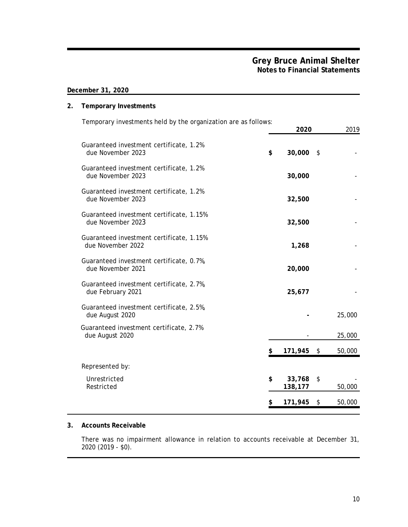| December 31, 2020 |
|-------------------|
|-------------------|

## **2. Temporary Investments**

| Temporary investments held by the organization are as follows: | 2020                    |            | 2019   |
|----------------------------------------------------------------|-------------------------|------------|--------|
| Guaranteed investment certificate, 1.2%<br>due November 2023   | \$<br>30,000            | \$         |        |
| Guaranteed investment certificate, 1.2%<br>due November 2023   | 30,000                  |            |        |
| Guaranteed investment certificate, 1.2%<br>due November 2023   | 32,500                  |            |        |
| Guaranteed investment certificate, 1.15%<br>due November 2023  | 32,500                  |            |        |
| Guaranteed investment certificate, 1.15%<br>due November 2022  | 1,268                   |            |        |
| Guaranteed investment certificate, 0.7%,<br>due November 2021  | 20,000                  |            |        |
| Guaranteed investment certificate, 2.7%,<br>due February 2021  | 25,677                  |            |        |
| Guaranteed investment certificate, 2.5%,<br>due August 2020    |                         |            | 25,000 |
| Guaranteed investment certificate, 2.7%<br>due August 2020     |                         |            | 25,000 |
|                                                                | \$<br>171,945           | \$         | 50,000 |
| Represented by:                                                |                         |            |        |
| Unrestricted<br>Restricted                                     | \$<br>33,768<br>138,177 | \$         | 50,000 |
|                                                                | \$<br>171,945           | $\sqrt{2}$ | 50,000 |
|                                                                |                         |            |        |

## **3. Accounts Receivable**

There was no impairment allowance in relation to accounts receivable at December 31, 2020 (2019 - \$0).